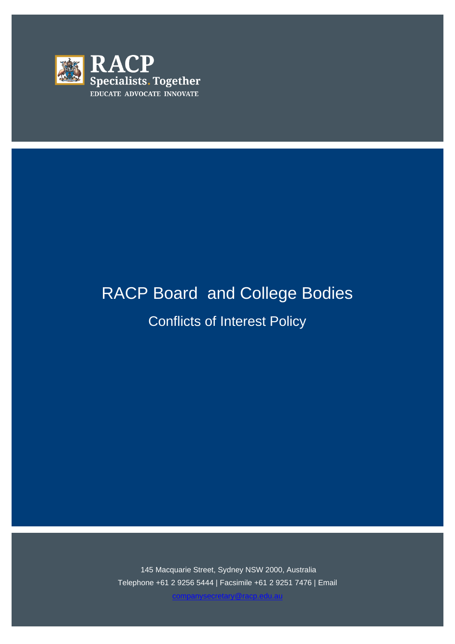

# RACP Board and College Bodies

Conflicts of Interest Policy

145 Macquarie Street, Sydney NSW 2000, Australia Telephone +61 2 9256 5444 | Facsimile +61 2 9251 7476 | Email

[companysecretary@racp.edu.au](mailto:companysecretary@racp.edu.au)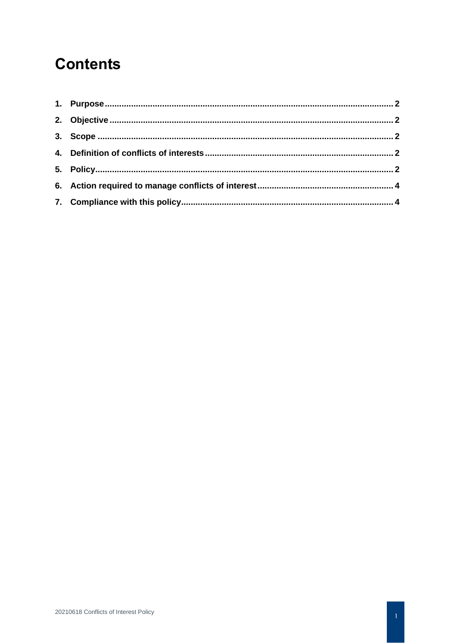## **Contents**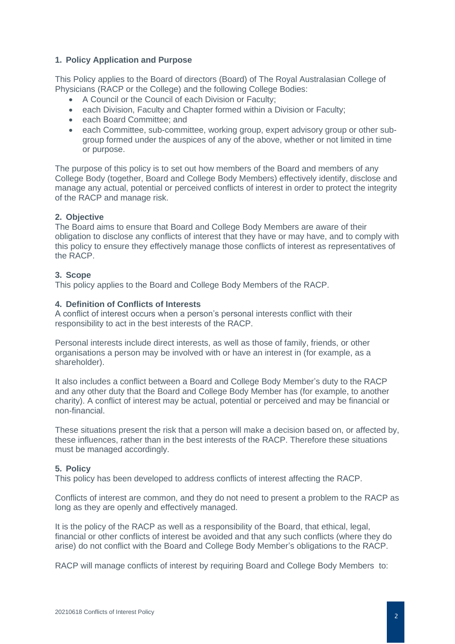#### **1. Policy Application and Purpose**

This Policy applies to the Board of directors (Board) of The Royal Australasian College of Physicians (RACP or the College) and the following College Bodies:

- A Council or the Council of each Division or Faculty;
- each Division, Faculty and Chapter formed within a Division or Faculty;
- each Board Committee: and
- each Committee, sub-committee, working group, expert advisory group or other subgroup formed under the auspices of any of the above, whether or not limited in time or purpose.

The purpose of this policy is to set out how members of the Board and members of any College Body (together, Board and College Body Members) effectively identify, disclose and manage any actual, potential or perceived conflicts of interest in order to protect the integrity of the RACP and manage risk.

#### **2. Objective**

The Board aims to ensure that Board and College Body Members are aware of their obligation to disclose any conflicts of interest that they have or may have, and to comply with this policy to ensure they effectively manage those conflicts of interest as representatives of the RACP.

#### **3. Scope**

This policy applies to the Board and College Body Members of the RACP.

#### **4. Definition of Conflicts of Interests**

A conflict of interest occurs when a person's personal interests conflict with their responsibility to act in the best interests of the RACP.

Personal interests include direct interests, as well as those of family, friends, or other organisations a person may be involved with or have an interest in (for example, as a shareholder).

It also includes a conflict between a Board and College Body Member's duty to the RACP and any other duty that the Board and College Body Member has (for example, to another charity). A conflict of interest may be actual, potential or perceived and may be financial or non-financial.

These situations present the risk that a person will make a decision based on, or affected by, these influences, rather than in the best interests of the RACP. Therefore these situations must be managed accordingly.

#### **5. Policy**

This policy has been developed to address conflicts of interest affecting the RACP.

Conflicts of interest are common, and they do not need to present a problem to the RACP as long as they are openly and effectively managed.

It is the policy of the RACP as well as a responsibility of the Board, that ethical, legal, financial or other conflicts of interest be avoided and that any such conflicts (where they do arise) do not conflict with the Board and College Body Member's obligations to the RACP.

RACP will manage conflicts of interest by requiring Board and College Body Members to: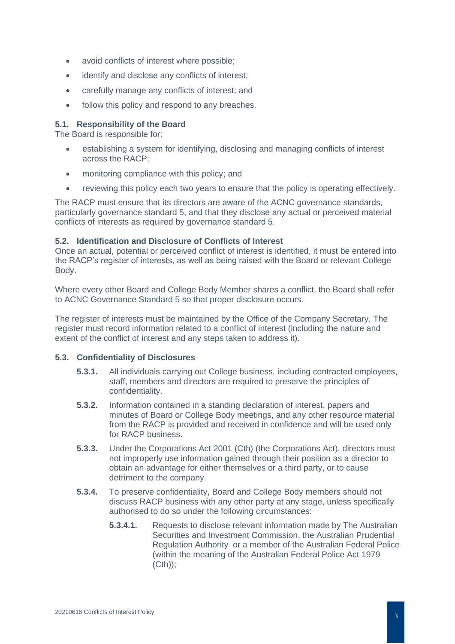- avoid conflicts of interest where possible;
- identify and disclose any conflicts of interest;
- carefully manage any conflicts of interest; and
- follow this policy and respond to any breaches.

### **5.1. Responsibility of the Board**

The Board is responsible for:

- establishing a system for identifying, disclosing and managing conflicts of interest across the RACP;
- monitoring compliance with this policy; and
- reviewing this policy each two years to ensure that the policy is operating effectively.

The RACP must ensure that its directors are aware of the ACNC governance standards, particularly governance standard 5, and that they disclose any actual or perceived material conflicts of interests as required by governance standard 5.

#### **5.2. Identification and Disclosure of Conflicts of Interest**

Once an actual, potential or perceived conflict of interest is identified, it must be entered into the RACP's register of interests, as well as being raised with the Board or relevant College Body.

Where every other Board and College Body Member shares a conflict, the Board shall refer to ACNC Governance Standard 5 so that proper disclosure occurs.

The register of interests must be maintained by the Office of the Company Secretary. The register must record information related to a conflict of interest (including the nature and extent of the conflict of interest and any steps taken to address it).

#### **5.3. Confidentiality of Disclosures**

- **5.3.1.** All individuals carrying out College business, including contracted employees, staff, members and directors are required to preserve the principles of confidentiality.
- **5.3.2.** Information contained in a standing declaration of interest, papers and minutes of Board or College Body meetings, and any other resource material from the RACP is provided and received in confidence and will be used only for RACP business.
- **5.3.3.** Under the Corporations Act 2001 (Cth) (the Corporations Act), directors must not improperly use information gained through their position as a director to obtain an advantage for either themselves or a third party, or to cause detriment to the company.
- **5.3.4.** To preserve confidentiality, Board and College Body members should not discuss RACP business with any other party at any stage, unless specifically authorised to do so under the following circumstances:
	- **5.3.4.1.** Requests to disclose relevant information made by The Australian Securities and Investment Commission, the Australian Prudential Regulation Authority or a member of the Australian Federal Police (within the meaning of the Australian Federal Police Act 1979 (Cth));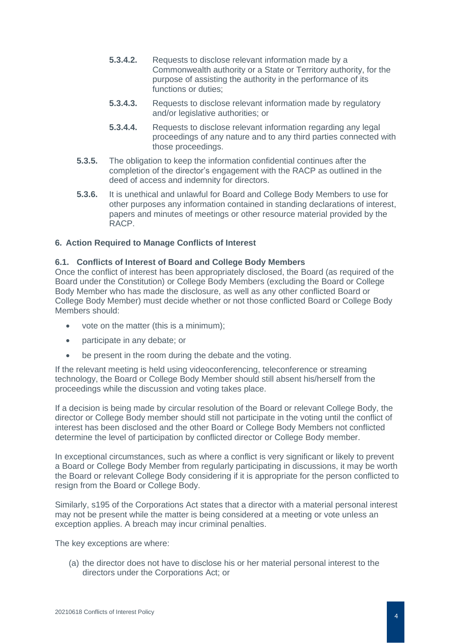- **5.3.4.2.** Requests to disclose relevant information made by a Commonwealth authority or a State or Territory authority, for the purpose of assisting the authority in the performance of its functions or duties;
- **5.3.4.3.** Requests to disclose relevant information made by regulatory and/or legislative authorities; or
- **5.3.4.4.** Requests to disclose relevant information regarding any legal proceedings of any nature and to any third parties connected with those proceedings.
- **5.3.5.** The obligation to keep the information confidential continues after the completion of the director's engagement with the RACP as outlined in the deed of access and indemnity for directors.
- **5.3.6.** It is unethical and unlawful for Board and College Body Members to use for other purposes any information contained in standing declarations of interest, papers and minutes of meetings or other resource material provided by the RACP.

#### **6. Action Required to Manage Conflicts of Interest**

#### **6.1. Conflicts of Interest of Board and College Body Members**

Once the conflict of interest has been appropriately disclosed, the Board (as required of the Board under the Constitution) or College Body Members (excluding the Board or College Body Member who has made the disclosure, as well as any other conflicted Board or College Body Member) must decide whether or not those conflicted Board or College Body Members should:

- vote on the matter (this is a minimum);
- participate in any debate; or
- be present in the room during the debate and the voting.

If the relevant meeting is held using videoconferencing, teleconference or streaming technology, the Board or College Body Member should still absent his/herself from the proceedings while the discussion and voting takes place.

If a decision is being made by circular resolution of the Board or relevant College Body, the director or College Body member should still not participate in the voting until the conflict of interest has been disclosed and the other Board or College Body Members not conflicted determine the level of participation by conflicted director or College Body member.

In exceptional circumstances, such as where a conflict is very significant or likely to prevent a Board or College Body Member from regularly participating in discussions, it may be worth the Board or relevant College Body considering if it is appropriate for the person conflicted to resign from the Board or College Body.

Similarly, s195 of the Corporations Act states that a director with a material personal interest may not be present while the matter is being considered at a meeting or vote unless an exception applies. A breach may incur criminal penalties.

The key exceptions are where:

(a) the director does not have to disclose his or her material personal interest to the directors under the Corporations Act; or